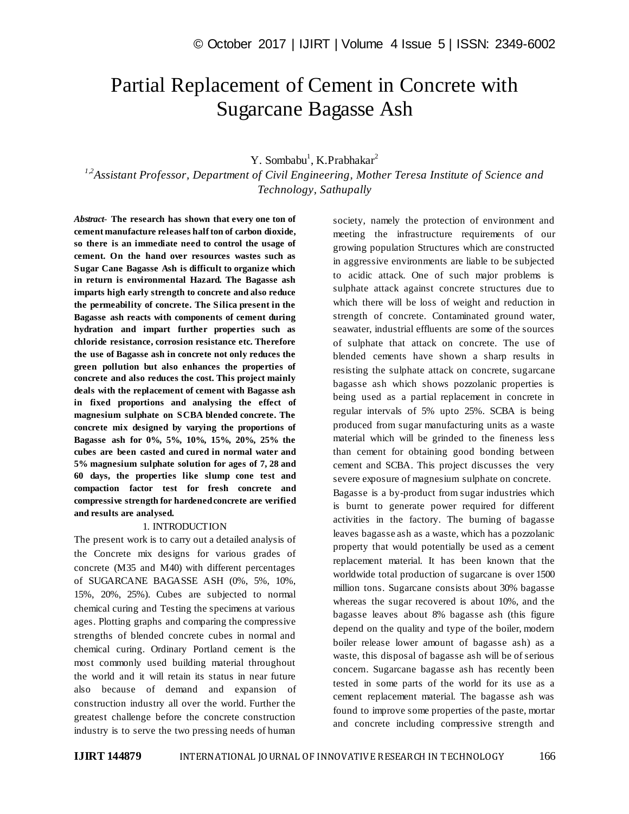# Partial Replacement of Cement in Concrete with Sugarcane Bagasse Ash

# Y. Sombabu<sup>1</sup>, K.Prabhakar<sup>2</sup>

*1,2Assistant Professor, Department of Civil Engineering, Mother Teresa Institute of Science and Technology, Sathupally*

*Abstract*- **The research has shown that every one ton of cement manufacture releases half ton of carbon dioxide, so there is an immediate need to control the usage of cement. On the hand over resources wastes such as Sugar Cane Bagasse Ash is difficult to organize which in return is environmental Hazard. The Bagasse ash imparts high early strength to concrete and also reduce the permeability of concrete. The Silica present in the Bagasse ash reacts with components of cement during hydration and impart further properties such as chloride resistance, corrosion resistance etc. Therefore the use of Bagasse ash in concrete not only reduces the green pollution but also enhances the properties of concrete and also reduces the cost. This project mainly deals with the replacement of cement with Bagasse ash in fixed proportions and analysing the effect of magnesium sulphate on SCBA blended concrete. The concrete mix designed by varying the proportions of Bagasse ash for 0%, 5%, 10%, 15%, 20%, 25% the cubes are been casted and cured in normal water and 5% magnesium sulphate solution for ages of 7, 28 and 60 days, the properties like slump cone test and compaction factor test for fresh concrete and compressive strength for hardened concrete are verified and results are analysed.**

#### 1. INTRODUCTION

The present work is to carry out a detailed analysis of the Concrete mix designs for various grades of concrete (M35 and M40) with different percentages of SUGARCANE BAGASSE ASH (0%, 5%, 10%, 15%, 20%, 25%). Cubes are subjected to normal chemical curing and Testing the specimens at various ages. Plotting graphs and comparing the compressive strengths of blended concrete cubes in normal and chemical curing. Ordinary Portland cement is the most commonly used building material throughout the world and it will retain its status in near future also because of demand and expansion of construction industry all over the world. Further the greatest challenge before the concrete construction industry is to serve the two pressing needs of human

society, namely the protection of environment and meeting the infrastructure requirements of our growing population Structures which are constructed in aggressive environments are liable to be subjected to acidic attack. One of such major problems is sulphate attack against concrete structures due to which there will be loss of weight and reduction in strength of concrete. Contaminated ground water, seawater, industrial effluents are some of the sources of sulphate that attack on concrete. The use of blended cements have shown a sharp results in resisting the sulphate attack on concrete, sugarcane bagasse ash which shows pozzolanic properties is being used as a partial replacement in concrete in regular intervals of 5% upto 25%. SCBA is being produced from sugar manufacturing units as a waste material which will be grinded to the fineness less than cement for obtaining good bonding between cement and SCBA. This project discusses the very severe exposure of magnesium sulphate on concrete. Bagasse is a by-product from sugar industries which is burnt to generate power required for different activities in the factory. The burning of bagasse leaves bagasse ash as a waste, which has a pozzolanic property that would potentially be used as a cement replacement material. It has been known that the worldwide total production of sugarcane is over 1500 million tons. Sugarcane consists about 30% bagasse whereas the sugar recovered is about 10%, and the bagasse leaves about 8% bagasse ash (this figure depend on the quality and type of the boiler, modern boiler release lower amount of bagasse ash) as a waste, this disposal of bagasse ash will be of serious concern. Sugarcane bagasse ash has recently been tested in some parts of the world for its use as a cement replacement material. The bagasse ash was found to improve some properties of the paste, mortar and concrete including compressive strength and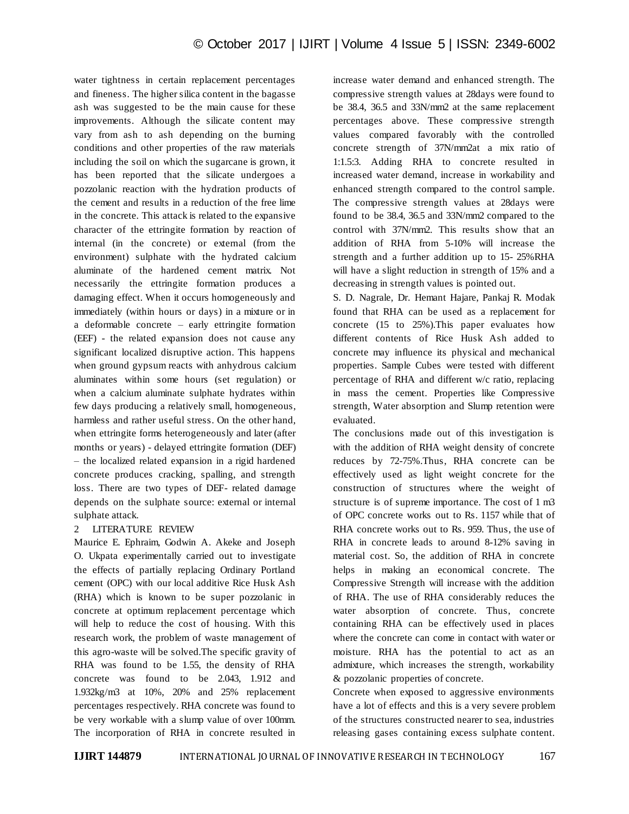water tightness in certain replacement percentages and fineness. The higher silica content in the bagasse ash was suggested to be the main cause for these improvements. Although the silicate content may vary from ash to ash depending on the burning conditions and other properties of the raw materials including the soil on which the sugarcane is grown, it has been reported that the silicate undergoes a pozzolanic reaction with the hydration products of the cement and results in a reduction of the free lime in the concrete. This attack is related to the expansive character of the ettringite formation by reaction of internal (in the concrete) or external (from the environment) sulphate with the hydrated calcium aluminate of the hardened cement matrix. Not necessarily the ettringite formation produces a damaging effect. When it occurs homogeneously and immediately (within hours or days) in a mixture or in a deformable concrete – early ettringite formation (EEF) - the related expansion does not cause any significant localized disruptive action. This happens when ground gypsum reacts with anhydrous calcium aluminates within some hours (set regulation) or when a calcium aluminate sulphate hydrates within few days producing a relatively small, homogeneous, harmless and rather useful stress. On the other hand, when ettringite forms heterogeneously and later (after months or years) - delayed ettringite formation (DEF) – the localized related expansion in a rigid hardened concrete produces cracking, spalling, and strength loss. There are two types of DEF- related damage depends on the sulphate source: external or internal sulphate attack.

## 2 LITERATURE REVIEW

Maurice E. Ephraim, Godwin A. Akeke and Joseph O. Ukpata experimentally carried out to investigate the effects of partially replacing Ordinary Portland cement (OPC) with our local additive Rice Husk Ash (RHA) which is known to be super pozzolanic in concrete at optimum replacement percentage which will help to reduce the cost of housing. With this research work, the problem of waste management of this agro-waste will be solved.The specific gravity of RHA was found to be 1.55, the density of RHA concrete was found to be 2.043, 1.912 and 1.932kg/m3 at 10%, 20% and 25% replacement percentages respectively. RHA concrete was found to be very workable with a slump value of over 100mm. The incorporation of RHA in concrete resulted in

increase water demand and enhanced strength. The compressive strength values at 28days were found to be 38.4, 36.5 and 33N/mm2 at the same replacement percentages above. These compressive strength values compared favorably with the controlled concrete strength of 37N/mm2at a mix ratio of 1:1.5:3. Adding RHA to concrete resulted in increased water demand, increase in workability and enhanced strength compared to the control sample. The compressive strength values at 28days were found to be 38.4, 36.5 and 33N/mm2 compared to the control with 37N/mm2. This results show that an addition of RHA from 5-10% will increase the strength and a further addition up to 15- 25%RHA will have a slight reduction in strength of 15% and a decreasing in strength values is pointed out.

S. D. Nagrale, Dr. Hemant Hajare, Pankaj R. Modak found that RHA can be used as a replacement for concrete (15 to 25%).This paper evaluates how different contents of Rice Husk Ash added to concrete may influence its physical and mechanical properties. Sample Cubes were tested with different percentage of RHA and different w/c ratio, replacing in mass the cement. Properties like Compressive strength, Water absorption and Slump retention were evaluated.

The conclusions made out of this investigation is with the addition of RHA weight density of concrete reduces by 72-75%.Thus, RHA concrete can be effectively used as light weight concrete for the construction of structures where the weight of structure is of supreme importance. The cost of 1 m3 of OPC concrete works out to Rs. 1157 while that of RHA concrete works out to Rs. 959. Thus, the use of RHA in concrete leads to around 8-12% saving in material cost. So, the addition of RHA in concrete helps in making an economical concrete. The Compressive Strength will increase with the addition of RHA. The use of RHA considerably reduces the water absorption of concrete. Thus, concrete containing RHA can be effectively used in places where the concrete can come in contact with water or moisture. RHA has the potential to act as an admixture, which increases the strength, workability & pozzolanic properties of concrete.

Concrete when exposed to aggressive environments have a lot of effects and this is a very severe problem of the structures constructed nearer to sea, industries releasing gases containing excess sulphate content.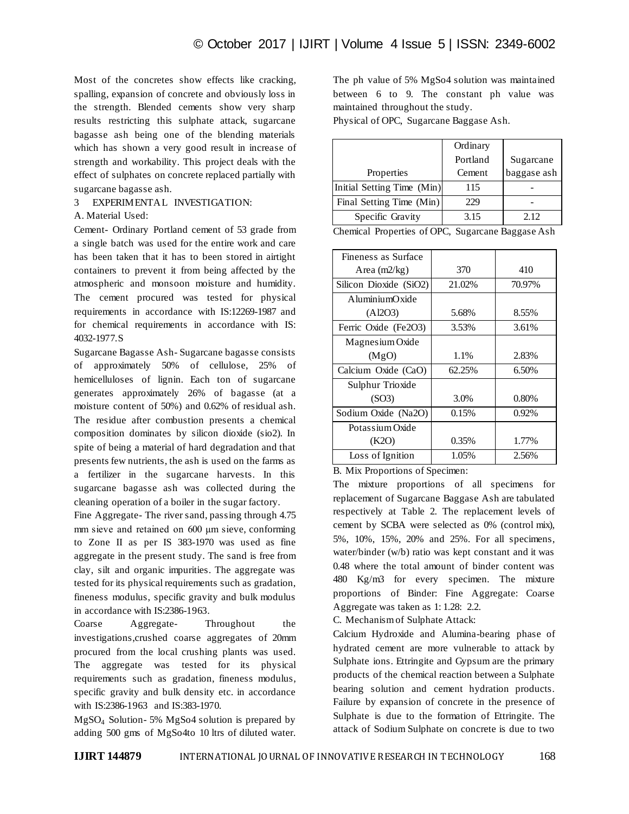Most of the concretes show effects like cracking, spalling, expansion of concrete and obviously loss in the strength. Blended cements show very sharp results restricting this sulphate attack, sugarcane bagasse ash being one of the blending materials which has shown a very good result in increase of strength and workability. This project deals with the effect of sulphates on concrete replaced partially with sugarcane bagasse ash.

## 3 EXPERIMENTAL INVESTIGATION:

### A. Material Used:

Cement- Ordinary Portland cement of 53 grade from a single batch was used for the entire work and care has been taken that it has to been stored in airtight containers to prevent it from being affected by the atmospheric and monsoon moisture and humidity. The cement procured was tested for physical requirements in accordance with IS:12269-1987 and for chemical requirements in accordance with IS: 4032-1977.S

Sugarcane Bagasse Ash- Sugarcane bagasse consists of approximately 50% of cellulose, 25% of hemicelluloses of lignin. Each ton of sugarcane generates approximately 26% of bagasse (at a moisture content of 50%) and 0.62% of residual ash. The residue after combustion presents a chemical composition dominates by silicon dioxide (sio2). In spite of being a material of hard degradation and that presents few nutrients, the ash is used on the farms as a fertilizer in the sugarcane harvests. In this sugarcane bagasse ash was collected during the cleaning operation of a boiler in the sugar factory.

Fine Aggregate- The river sand, passing through 4.75 mm sieve and retained on 600 μm sieve, conforming to Zone II as per IS 383-1970 was used as fine aggregate in the present study. The sand is free from clay, silt and organic impurities. The aggregate was tested for its physical requirements such as gradation, fineness modulus, specific gravity and bulk modulus in accordance with IS:2386-1963.

Coarse Aggregate- Throughout the investigations,crushed coarse aggregates of 20mm procured from the local crushing plants was used. The aggregate was tested for its physical requirements such as gradation, fineness modulus, specific gravity and bulk density etc. in accordance with IS:2386-1963 and IS:383-1970.

MgSO<sup>4</sup> Solution- 5% MgSo4 solution is prepared by adding 500 gms of MgSo4to 10 ltrs of diluted water. The ph value of 5% MgSo4 solution was maintained between 6 to 9. The constant ph value was maintained throughout the study.

Physical of OPC, Sugarcane Baggase Ash.

|                            | Ordinary |             |
|----------------------------|----------|-------------|
|                            | Portland | Sugarcane   |
| Properties                 | Cement   | baggase ash |
| Initial Setting Time (Min) | 115      |             |
| Final Setting Time (Min)   | 229      |             |
| Specific Gravity           | 3.15     | 2.12        |

|  |  |  |  | Chemical Properties of OPC, Sugarcane Baggase Ash |  |
|--|--|--|--|---------------------------------------------------|--|
|--|--|--|--|---------------------------------------------------|--|

| Fineness as Surface    |        |        |
|------------------------|--------|--------|
| Area $(m2/kg)$         | 370    | 410    |
| Silicon Dioxide (SiO2) | 21.02% | 70.97% |
| AluminiumOxide         |        |        |
| (A12O3)                | 5.68%  | 8.55%  |
| Ferric Oxide (Fe2O3)   | 3.53%  | 3.61%  |
| Magnesium Oxide        |        |        |
| (MgO)                  | 1.1%   | 2.83%  |
| Calcium Oxide (CaO)    | 62.25% | 6.50%  |
| Sulphur Trioxide       |        |        |
| (SO3)                  | 3.0%   | 0.80%  |
| Sodium Oxide (Na2O)    | 0.15%  | 0.92%  |
| Potassium Oxide        |        |        |
| (K2O)                  | 0.35%  | 1.77%  |
| Loss of Ignition       | 1.05%  | 2.56%  |

B. Mix Proportions of Specimen:

The mixture proportions of all specimens for replacement of Sugarcane Baggase Ash are tabulated respectively at Table 2. The replacement levels of cement by SCBA were selected as 0% (control mix), 5%, 10%, 15%, 20% and 25%. For all specimens, water/binder (w/b) ratio was kept constant and it was 0.48 where the total amount of binder content was 480 Kg/m3 for every specimen. The mixture proportions of Binder: Fine Aggregate: Coarse Aggregate was taken as 1: 1.28: 2.2.

C. Mechanism of Sulphate Attack:

Calcium Hydroxide and Alumina-bearing phase of hydrated cement are more vulnerable to attack by Sulphate ions. Ettringite and Gypsum are the primary products of the chemical reaction between a Sulphate bearing solution and cement hydration products. Failure by expansion of concrete in the presence of Sulphate is due to the formation of Ettringite. The attack of Sodium Sulphate on concrete is due to two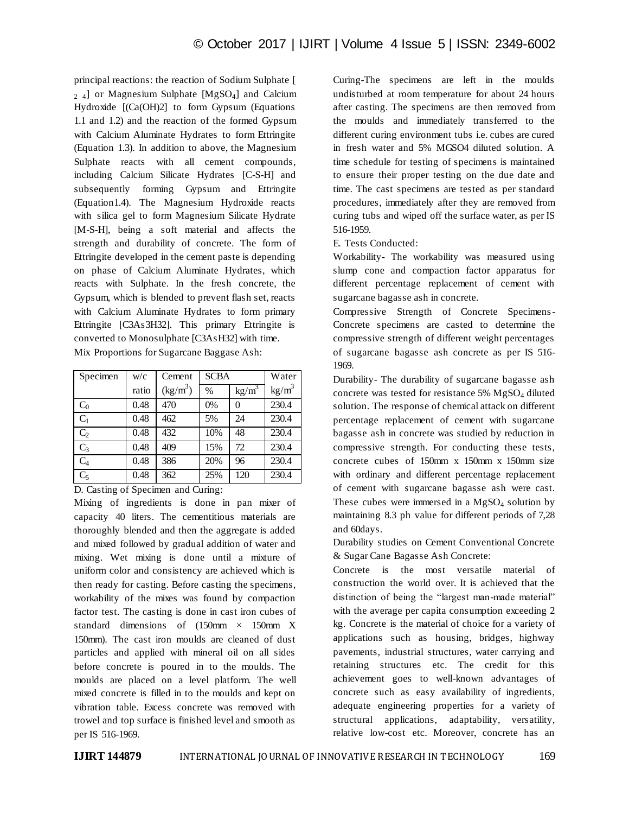principal reactions: the reaction of Sodium Sulphate [  $_{2,4}$ ] or Magnesium Sulphate [MgSO<sub>4</sub>] and Calcium Hydroxide [(Ca(OH)2] to form Gypsum (Equations 1.1 and 1.2) and the reaction of the formed Gypsum with Calcium Aluminate Hydrates to form Ettringite (Equation 1.3). In addition to above, the Magnesium Sulphate reacts with all cement compounds, including Calcium Silicate Hydrates [C-S-H] and subsequently forming Gypsum and Ettringite (Equation1.4). The Magnesium Hydroxide reacts with silica gel to form Magnesium Silicate Hydrate [M-S-H], being a soft material and affects the strength and durability of concrete. The form of Ettringite developed in the cement paste is depending on phase of Calcium Aluminate Hydrates, which reacts with Sulphate. In the fresh concrete, the Gypsum, which is blended to prevent flash set, reacts with Calcium Aluminate Hydrates to form primary Ettringite [C3As3H32]. This primary Ettringite is converted to Monosulphate [C3AsH32] with time. Mix Proportions for Sugarcane Baggase Ash:

| Specimen | W/c   | Cement     | <b>SCBA</b> |                 | Water           |
|----------|-------|------------|-------------|-----------------|-----------------|
|          | ratio | $(kg/m^3)$ | $\%$        | $\text{kg/m}^3$ | $\text{kg/m}^3$ |
| $C_0$    | 0.48  | 470        | 0%          | 0               | 230.4           |
| $C_1$    | 0.48  | 462        | 5%          | 24              | 230.4           |
| $C_2$    | 0.48  | 432        | 10%         | 48              | 230.4           |
| $C_3$    | 0.48  | 409        | 15%         | 72              | 230.4           |
| $C_4$    | 0.48  | 386        | 20%         | 96              | 230.4           |
| $C_5$    | 0.48  | 362        | 25%         | 120             | 230.4           |

D. Casting of Specimen and Curing:

Mixing of ingredients is done in pan mixer of capacity 40 liters. The cementitious materials are thoroughly blended and then the aggregate is added and mixed followed by gradual addition of water and mixing. Wet mixing is done until a mixture of uniform color and consistency are achieved which is then ready for casting. Before casting the specimens, workability of the mixes was found by compaction factor test. The casting is done in cast iron cubes of standard dimensions of  $(150 \text{mm} \times 150 \text{mm} \times$ 150mm). The cast iron moulds are cleaned of dust particles and applied with mineral oil on all sides before concrete is poured in to the moulds. The moulds are placed on a level platform. The well mixed concrete is filled in to the moulds and kept on vibration table. Excess concrete was removed with trowel and top surface is finished level and smooth as per IS 516-1969.

Curing-The specimens are left in the moulds undisturbed at room temperature for about 24 hours after casting. The specimens are then removed from the moulds and immediately transferred to the different curing environment tubs i.e. cubes are cured in fresh water and 5% MGSO4 diluted solution. A time schedule for testing of specimens is maintained to ensure their proper testing on the due date and time. The cast specimens are tested as per standard procedures, immediately after they are removed from curing tubs and wiped off the surface water, as per IS 516-1959.

E. Tests Conducted:

Workability- The workability was measured using slump cone and compaction factor apparatus for different percentage replacement of cement with sugarcane bagasse ash in concrete.

Compressive Strength of Concrete Specimens-Concrete specimens are casted to determine the compressive strength of different weight percentages of sugarcane bagasse ash concrete as per IS 516- 1969.

Durability- The durability of sugarcane bagasse ash concrete was tested for resistance  $5\%$  MgSO<sub>4</sub> diluted solution. The response of chemical attack on different percentage replacement of cement with sugarcane bagasse ash in concrete was studied by reduction in compressive strength. For conducting these tests, concrete cubes of 150mm x 150mm x 150mm size with ordinary and different percentage replacement of cement with sugarcane bagasse ash were cast. These cubes were immersed in a  $MgSO<sub>4</sub>$  solution by maintaining 8.3 ph value for different periods of 7,28 and 60days.

Durability studies on Cement Conventional Concrete & Sugar Cane Bagasse Ash Concrete:

Concrete is the most versatile material of construction the world over. It is achieved that the distinction of being the "largest man-made material" with the average per capita consumption exceeding 2 kg. Concrete is the material of choice for a variety of applications such as housing, bridges, highway pavements, industrial structures, water carrying and retaining structures etc. The credit for this achievement goes to well-known advantages of concrete such as easy availability of ingredients, adequate engineering properties for a variety of structural applications, adaptability, versatility, relative low-cost etc. Moreover, concrete has an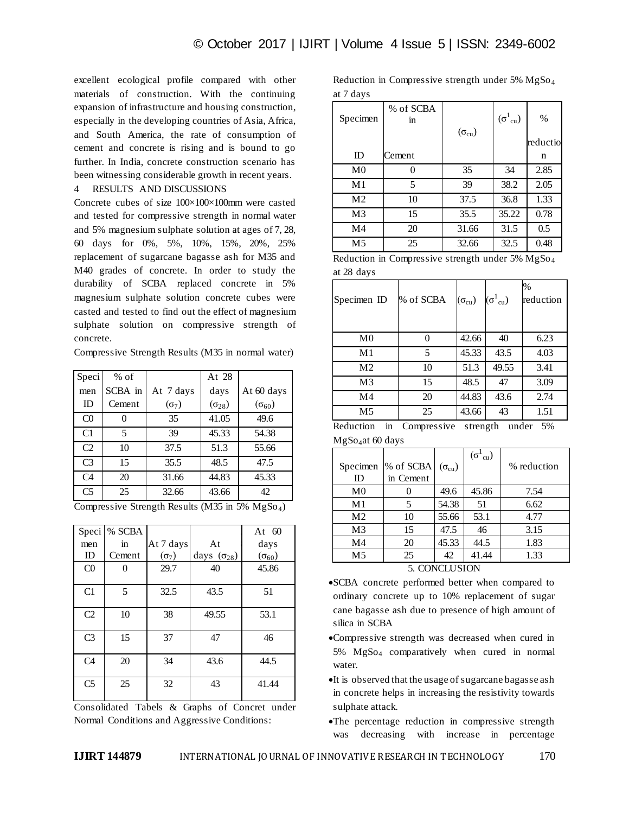excellent ecological profile compared with other materials of construction. With the continuing expansion of infrastructure and housing construction, especially in the developing countries of Asia, Africa, and South America, the rate of consumption of cement and concrete is rising and is bound to go further. In India, concrete construction scenario has been witnessing considerable growth in recent years.

# 4 RESULTS AND DISCUSSIONS

Concrete cubes of size 100×100×100mm were casted and tested for compressive strength in normal water and 5% magnesium sulphate solution at ages of 7, 28, 60 days for 0%, 5%, 10%, 15%, 20%, 25% replacement of sugarcane bagasse ash for M35 and M40 grades of concrete. In order to study the durability of SCBA replaced concrete in 5% magnesium sulphate solution concrete cubes were casted and tested to find out the effect of magnesium sulphate solution on compressive strength of concrete.

Compressive Strength Results (M35 in normal water)

| Speci          | $%$ of  |              | At 28           |                 |
|----------------|---------|--------------|-----------------|-----------------|
| men            | SCBA in | At 7 days    | days            | At 60 days      |
| ID             | Cement  | $(\sigma_7)$ | $(\sigma_{28})$ | $(\sigma_{60})$ |
| C <sub>0</sub> |         | 35           | 41.05           | 49.6            |
| C <sub>1</sub> | 5       | 39           | 45.33           | 54.38           |
| C <sub>2</sub> | 10      | 37.5         | 51.3            | 55.66           |
| C <sub>3</sub> | 15      | 35.5         | 48.5            | 47.5            |
| C <sub>4</sub> | 20      | 31.66        | 44.83           | 45.33           |
| C <sub>5</sub> | 25      | 32.66        | 43.66           | 42              |

Compressive Strength Results (M35 in 5% MgSo4)

| Speci          | % SCBA |              |                      | At $60$         |
|----------------|--------|--------------|----------------------|-----------------|
| men            | in     | At 7 days    | At                   | days            |
| ID             | Cement | $(\sigma_7)$ | days $(\sigma_{28})$ | $(\sigma_{60})$ |
| C <sub>0</sub> | 0      | 29.7         | 40                   | 45.86           |
|                |        |              |                      |                 |
| C1             | 5      | 32.5         | 43.5                 | 51              |
| C <sub>2</sub> | 10     | 38           | 49.55                | 53.1            |
| C <sub>3</sub> | 15     | 37           | 47                   | 46              |
| C <sub>4</sub> | 20     | 34           | 43.6                 | 44.5            |
| C <sub>5</sub> | 25     | 32           | 43                   | 41.44           |

Consolidated Tabels & Graphs of Concret under Normal Conditions and Aggressive Conditions:

Reduction in Compressive strength under 5% MgSo<sup>4</sup> at 7 days

| Specimen       | % of SCBA<br>in |                     | $(\sigma^1_{\text{cu}})$ | $\%$     |
|----------------|-----------------|---------------------|--------------------------|----------|
|                |                 | $(\sigma_{\rm cu})$ |                          | reductio |
| ID             | Cement          |                     |                          | n        |
| M <sub>0</sub> | 0               | 35                  | 34                       | 2.85     |
| M <sub>1</sub> | 5               | 39                  | 38.2                     | 2.05     |
| M <sub>2</sub> | 10              | 37.5                | 36.8                     | 1.33     |
| M <sub>3</sub> | 15              | 35.5                | 35.22                    | 0.78     |
| M <sub>4</sub> | 20              | 31.66               | 31.5                     | 0.5      |
| M5             | 25              | 32.66               | 32.5                     | 0.48     |

Reduction in Compressive strength under 5% MgSo<sup>4</sup> at 28 days

| Specimen ID    | % of SCBA | $(\sigma_{\rm cu})$ | $(\sigma^1_{\rm cu})$ | $\%$<br>reduction |
|----------------|-----------|---------------------|-----------------------|-------------------|
| M <sub>0</sub> | 0         | 42.66               | 40                    | 6.23              |
| M1             | 5         | 45.33               | 43.5                  | 4.03              |
| M <sub>2</sub> | 10        | 51.3                | 49.55                 | 3.41              |
| M3             | 15        | 48.5                | 47                    | 3.09              |
| M <sub>4</sub> | 20        | 44.83               | 43.6                  | 2.74              |
| M5             | 25        | 43.66               | 43                    | 1.51              |

Reduction in Compressive strength under 5% MgSo4at 60 days

| Specimen<br>ID     | % of SCBA<br>in Cement | $(\sigma_{\rm cu})$ | $(\sigma^1_{\text{cu}})$ | % reduction |  |
|--------------------|------------------------|---------------------|--------------------------|-------------|--|
| M <sub>0</sub>     |                        | 49.6                | 45.86                    | 7.54        |  |
| M <sub>1</sub>     | 5                      | 54.38               | 51                       | 6.62        |  |
| M <sub>2</sub>     | 10                     | 55.66               | 53.1                     | 4.77        |  |
| M <sub>3</sub>     | 15                     | 47.5                | 46                       | 3.15        |  |
| M <sub>4</sub>     | 20                     | 45.33               | 44.5                     | 1.83        |  |
| M <sub>5</sub>     | 25                     | 42                  | 41.44                    | 1.33        |  |
| COMCI LICIONI<br>5 |                        |                     |                          |             |  |

5. CONCLUSION

- SCBA concrete performed better when compared to ordinary concrete up to 10% replacement of sugar cane bagasse ash due to presence of high amount of silica in SCBA
- Compressive strength was decreased when cured in 5% MgSo<sup>4</sup> comparatively when cured in normal water.
- It is observed that the usage of sugarcane bagasse ash in concrete helps in increasing the resistivity towards sulphate attack.
- The percentage reduction in compressive strength was decreasing with increase in percentage